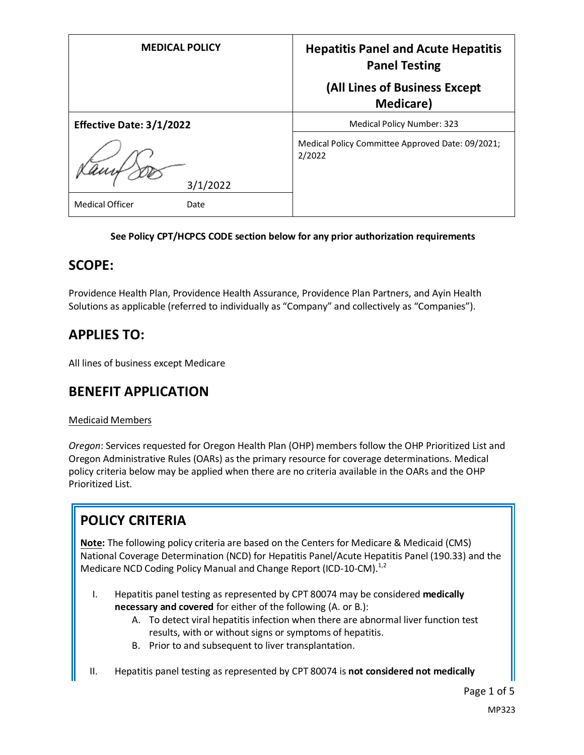| <b>MEDICAL POLICY</b>          | <b>Hepatitis Panel and Acute Hepatitis</b><br><b>Panel Testing</b> |
|--------------------------------|--------------------------------------------------------------------|
|                                | (All Lines of Business Except<br><b>Medicare</b> )                 |
| Effective Date: 3/1/2022       | <b>Medical Policy Number: 323</b>                                  |
| 3/1/2022                       | Medical Policy Committee Approved Date: 09/2021;<br>2/2022         |
| <b>Medical Officer</b><br>Date |                                                                    |

#### **See Policy CPT/HCPCS CODE section below for any prior authorization requirements**

### **SCOPE:**

Providence Health Plan, Providence Health Assurance, Providence Plan Partners, and Ayin Health Solutions as applicable (referred to individually as "Company" and collectively as "Companies").

# **APPLIES TO:**

All lines of business except Medicare

## **BENEFIT APPLICATION**

#### Medicaid Members

*Oregon*: Services requested for Oregon Health Plan (OHP) members follow the OHP Prioritized List and Oregon Administrative Rules (OARs) as the primary resource for coverage determinations. Medical policy criteria below may be applied when there are no criteria available in the OARs and the OHP Prioritized List.

# **POLICY CRITERIA**

**Note:** The following policy criteria are based on the Centers for Medicare & Medicaid (CMS) National Coverage Determination (NCD) for Hepatitis Panel/Acute Hepatitis Panel (190.33) and the Medicare NCD Coding Policy Manual and Change Report (ICD-10-CM).<sup>1,2</sup>

- I. Hepatitis panel testing as represented by CPT 80074 may be considered **medically necessary and covered** for either of the following (A. or B.):
	- A. To detect viral hepatitis infection when there are abnormal liver function test results, with or without signs or symptoms of hepatitis.
	- B. Prior to and subsequent to liver transplantation.
- II. Hepatitis panel testing as represented by CPT 80074 is **not considered not medically**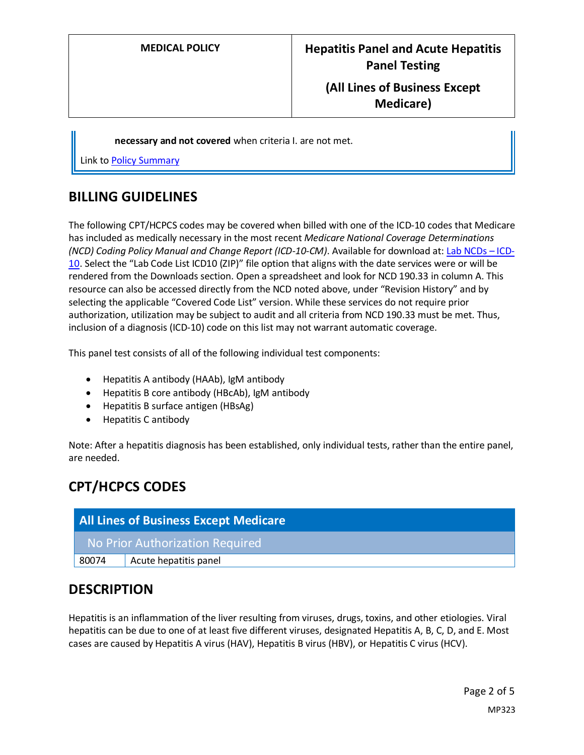## **(All Lines of Business Except Medicare)**

**necessary and not covered** when criteria I. are not met.

Link t[o Policy Summary](#page-3-0)

## **BILLING GUIDELINES**

The following CPT/HCPCS codes may be covered when billed with one of the ICD-10 codes that Medicare has included as medically necessary in the most recent *Medicare National Coverage Determinations (NCD) Coding Policy Manual and Change Report (ICD-10-CM)*. Available for download at: [Lab NCDs](https://www.cms.gov/Medicare/Coverage/CoverageGenInfo/LabNCDsICD10) – ICD-[10.](https://www.cms.gov/Medicare/Coverage/CoverageGenInfo/LabNCDsICD10) Select the "Lab Code List ICD10 (ZIP)" file option that aligns with the date services were or will be rendered from the Downloads section. Open a spreadsheet and look for NCD 190.33 in column A. This resource can also be accessed directly from the NCD noted above, under "Revision History" and by selecting the applicable "Covered Code List" version. While these services do not require prior authorization, utilization may be subject to audit and all criteria from NCD 190.33 must be met. Thus, inclusion of a diagnosis (ICD-10) code on this list may not warrant automatic coverage.

This panel test consists of all of the following individual test components:

- Hepatitis A antibody (HAAb), IgM antibody
- Hepatitis B core antibody (HBcAb), IgM antibody
- Hepatitis B surface antigen (HBsAg)
- Hepatitis C antibody

Note: After a hepatitis diagnosis has been established, only individual tests, rather than the entire panel, are needed.

# **CPT/HCPCS CODES**

| <b>All Lines of Business Except Medicare</b> |                       |
|----------------------------------------------|-----------------------|
| No Prior Authorization Required              |                       |
| 80074                                        | Acute hepatitis panel |

## **DESCRIPTION**

Hepatitis is an inflammation of the liver resulting from viruses, drugs, toxins, and other etiologies. Viral hepatitis can be due to one of at least five different viruses, designated Hepatitis A, B, C, D, and E. Most cases are caused by Hepatitis A virus (HAV), Hepatitis B virus (HBV), or Hepatitis C virus (HCV).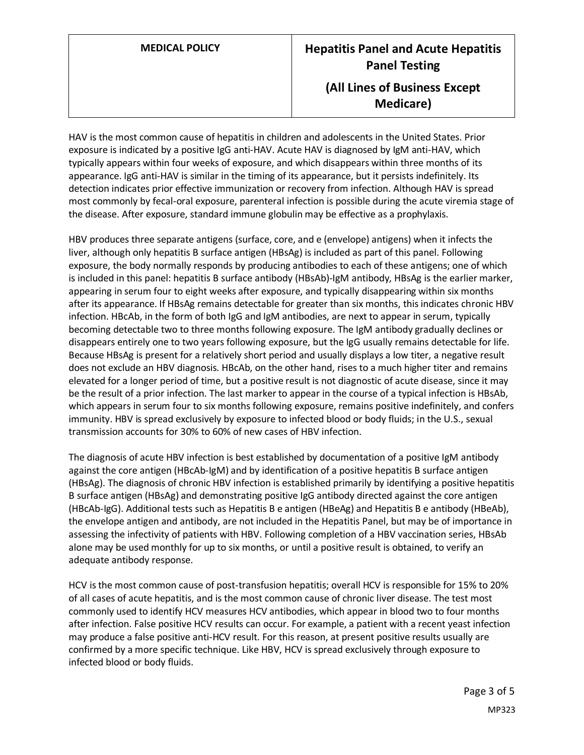HAV is the most common cause of hepatitis in children and adolescents in the United States. Prior exposure is indicated by a positive IgG anti-HAV. Acute HAV is diagnosed by IgM anti-HAV, which typically appears within four weeks of exposure, and which disappears within three months of its appearance. IgG anti-HAV is similar in the timing of its appearance, but it persists indefinitely. Its detection indicates prior effective immunization or recovery from infection. Although HAV is spread most commonly by fecal-oral exposure, parenteral infection is possible during the acute viremia stage of the disease. After exposure, standard immune globulin may be effective as a prophylaxis.

HBV produces three separate antigens (surface, core, and e (envelope) antigens) when it infects the liver, although only hepatitis B surface antigen (HBsAg) is included as part of this panel. Following exposure, the body normally responds by producing antibodies to each of these antigens; one of which is included in this panel: hepatitis B surface antibody (HBsAb)-IgM antibody, HBsAg is the earlier marker, appearing in serum four to eight weeks after exposure, and typically disappearing within six months after its appearance. If HBsAg remains detectable for greater than six months, this indicates chronic HBV infection. HBcAb, in the form of both IgG and IgM antibodies, are next to appear in serum, typically becoming detectable two to three months following exposure. The IgM antibody gradually declines or disappears entirely one to two years following exposure, but the IgG usually remains detectable for life. Because HBsAg is present for a relatively short period and usually displays a low titer, a negative result does not exclude an HBV diagnosis. HBcAb, on the other hand, rises to a much higher titer and remains elevated for a longer period of time, but a positive result is not diagnostic of acute disease, since it may be the result of a prior infection. The last marker to appear in the course of a typical infection is HBsAb, which appears in serum four to six months following exposure, remains positive indefinitely, and confers immunity. HBV is spread exclusively by exposure to infected blood or body fluids; in the U.S., sexual transmission accounts for 30% to 60% of new cases of HBV infection.

The diagnosis of acute HBV infection is best established by documentation of a positive IgM antibody against the core antigen (HBcAb-IgM) and by identification of a positive hepatitis B surface antigen (HBsAg). The diagnosis of chronic HBV infection is established primarily by identifying a positive hepatitis B surface antigen (HBsAg) and demonstrating positive IgG antibody directed against the core antigen (HBcAb-IgG). Additional tests such as Hepatitis B e antigen (HBeAg) and Hepatitis B e antibody (HBeAb), the envelope antigen and antibody, are not included in the Hepatitis Panel, but may be of importance in assessing the infectivity of patients with HBV. Following completion of a HBV vaccination series, HBsAb alone may be used monthly for up to six months, or until a positive result is obtained, to verify an adequate antibody response.

HCV is the most common cause of post-transfusion hepatitis; overall HCV is responsible for 15% to 20% of all cases of acute hepatitis, and is the most common cause of chronic liver disease. The test most commonly used to identify HCV measures HCV antibodies, which appear in blood two to four months after infection. False positive HCV results can occur. For example, a patient with a recent yeast infection may produce a false positive anti-HCV result. For this reason, at present positive results usually are confirmed by a more specific technique. Like HBV, HCV is spread exclusively through exposure to infected blood or body fluids.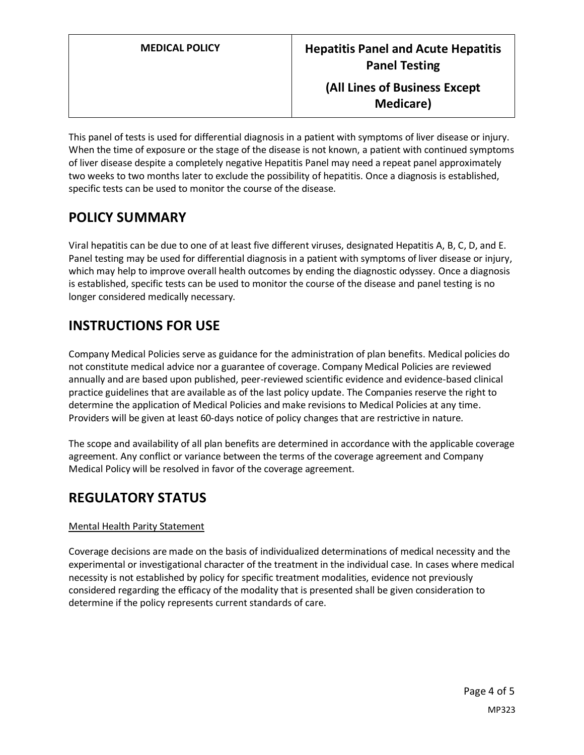This panel of tests is used for differential diagnosis in a patient with symptoms of liver disease or injury. When the time of exposure or the stage of the disease is not known, a patient with continued symptoms of liver disease despite a completely negative Hepatitis Panel may need a repeat panel approximately two weeks to two months later to exclude the possibility of hepatitis. Once a diagnosis is established, specific tests can be used to monitor the course of the disease.

# <span id="page-3-0"></span>**POLICY SUMMARY**

Viral hepatitis can be due to one of at least five different viruses, designated Hepatitis A, B, C, D, and E. Panel testing may be used for differential diagnosis in a patient with symptoms of liver disease or injury, which may help to improve overall health outcomes by ending the diagnostic odyssey. Once a diagnosis is established, specific tests can be used to monitor the course of the disease and panel testing is no longer considered medically necessary.

# **INSTRUCTIONS FOR USE**

Company Medical Policies serve as guidance for the administration of plan benefits. Medical policies do not constitute medical advice nor a guarantee of coverage. Company Medical Policies are reviewed annually and are based upon published, peer-reviewed scientific evidence and evidence-based clinical practice guidelines that are available as of the last policy update. The Companies reserve the right to determine the application of Medical Policies and make revisions to Medical Policies at any time. Providers will be given at least 60-days notice of policy changes that are restrictive in nature.

The scope and availability of all plan benefits are determined in accordance with the applicable coverage agreement. Any conflict or variance between the terms of the coverage agreement and Company Medical Policy will be resolved in favor of the coverage agreement.

# **REGULATORY STATUS**

#### Mental Health Parity Statement

Coverage decisions are made on the basis of individualized determinations of medical necessity and the experimental or investigational character of the treatment in the individual case. In cases where medical necessity is not established by policy for specific treatment modalities, evidence not previously considered regarding the efficacy of the modality that is presented shall be given consideration to determine if the policy represents current standards of care.